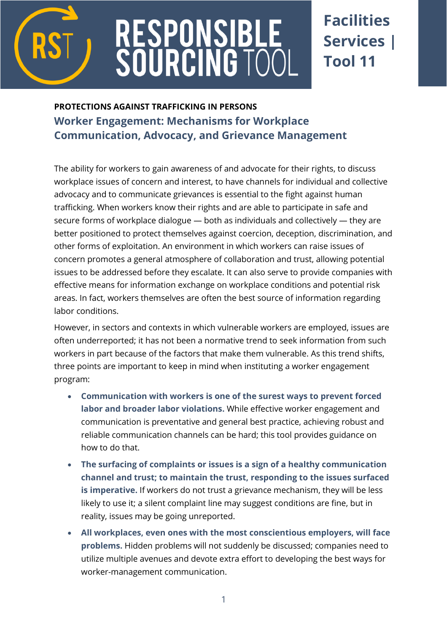

# RESPONSIBI<br>SOURCING T(

## **Facilities Services | Tool 11**

### **PROTECTIONS AGAINST TRAFFICKING IN PERSONS Worker Engagement: Mechanisms for Workplace Communication, Advocacy, and Grievance Management**

The ability for workers to gain awareness of and advocate for their rights, to discuss workplace issues of concern and interest, to have channels for individual and collective advocacy and to communicate grievances is essential to the fight against human trafficking. When workers know their rights and are able to participate in safe and secure forms of workplace dialogue — both as individuals and collectively — they are better positioned to protect themselves against coercion, deception, discrimination, and other forms of exploitation. An environment in which workers can raise issues of concern promotes a general atmosphere of collaboration and trust, allowing potential issues to be addressed before they escalate. It can also serve to provide companies with effective means for information exchange on workplace conditions and potential risk areas. In fact, workers themselves are often the best source of information regarding labor conditions.

However, in sectors and contexts in which vulnerable workers are employed, issues are often underreported; it has not been a normative trend to seek information from such workers in part because of the factors that make them vulnerable. As this trend shifts, three points are important to keep in mind when instituting a worker engagement program:

- **Communication with workers is one of the surest ways to prevent forced labor and broader labor violations.** While effective worker engagement and communication is preventative and general best practice, achieving robust and reliable communication channels can be hard; this tool provides guidance on how to do that.
- **The surfacing of complaints or issues is a sign of a healthy communication channel and trust; to maintain the trust, responding to the issues surfaced is imperative.** If workers do not trust a grievance mechanism, they will be less likely to use it; a silent complaint line may suggest conditions are fine, but in reality, issues may be going unreported.
- **All workplaces, even ones with the most conscientious employers, will face problems.** Hidden problems will not suddenly be discussed; companies need to utilize multiple avenues and devote extra effort to developing the best ways for worker-management communication.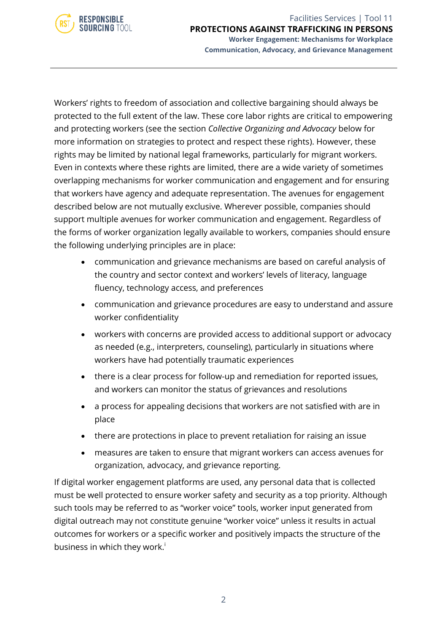

Workers' rights to freedom of association and collective bargaining should always be protected to the full extent of the law. These core labor rights are critical to empowering and protecting workers (see the section *Collective Organizing and Advocacy* below for more information on strategies to protect and respect these rights). However, these rights may be limited by national legal frameworks, particularly for migrant workers. Even in contexts where these rights are limited, there are a wide variety of sometimes overlapping mechanisms for worker communication and engagement and for ensuring that workers have agency and adequate representation. The avenues for engagement described below are not mutually exclusive. Wherever possible, companies should support multiple avenues for worker communication and engagement. Regardless of the forms of worker organization legally available to workers, companies should ensure the following underlying principles are in place:

- communication and grievance mechanisms are based on careful analysis of the country and sector context and workers' levels of literacy, language fluency, technology access, and preferences
- communication and grievance procedures are easy to understand and assure worker confidentiality
- workers with concerns are provided access to additional support or advocacy as needed (e.g., interpreters, counseling), particularly in situations where workers have had potentially traumatic experiences
- there is a clear process for follow-up and remediation for reported issues, and workers can monitor the status of grievances and resolutions
- a process for appealing decisions that workers are not satisfied with are in place
- there are protections in place to prevent retaliation for raising an issue
- measures are taken to ensure that migrant workers can access avenues for organization, advocacy, and grievance reporting.

If digital worker engagement platforms are used, any personal data that is collected must be well protected to ensure worker safety and security as a top priority. Although such tools may be referred to as "worker voice" tools, worker input generated from digital outreach may not constitute genuine "worker voice" unless it results in actual outcomes for workers or a specific worker and positively impacts the structure of the business in which they work.<sup>i</sup>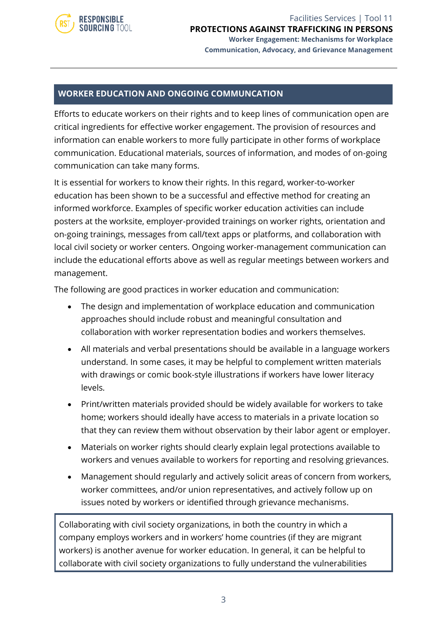

#### **WORKER EDUCATION AND ONGOING COMMUNCATION**

Efforts to educate workers on their rights and to keep lines of communication open are critical ingredients for effective worker engagement. The provision of resources and information can enable workers to more fully participate in other forms of workplace communication. Educational materials, sources of information, and modes of on-going communication can take many forms.

It is essential for workers to know their rights. In this regard, worker-to-worker education has been shown to be a successful and effective method for creating an informed workforce. Examples of specific worker education activities can include posters at the worksite, employer-provided trainings on worker rights, orientation and on-going trainings, messages from call/text apps or platforms, and collaboration with local civil society or worker centers. Ongoing worker-management communication can include the educational efforts above as well as regular meetings between workers and management.

The following are good practices in worker education and communication:

- The design and implementation of workplace education and communication approaches should include robust and meaningful consultation and collaboration with worker representation bodies and workers themselves.
- All materials and verbal presentations should be available in a language workers understand. In some cases, it may be helpful to complement written materials with drawings or comic book-style illustrations if workers have lower literacy levels.
- Print/written materials provided should be widely available for workers to take home; workers should ideally have access to materials in a private location so that they can review them without observation by their labor agent or employer.
- Materials on worker rights should clearly explain legal protections available to workers and venues available to workers for reporting and resolving grievances.
- Management should regularly and actively solicit areas of concern from workers, worker committees, and/or union representatives, and actively follow up on issues noted by workers or identified through grievance mechanisms.

Collaborating with civil society organizations, in both the country in which a company employs workers and in workers' home countries (if they are migrant workers) is another avenue for worker education. In general, it can be helpful to collaborate with civil society organizations to fully understand the vulnerabilities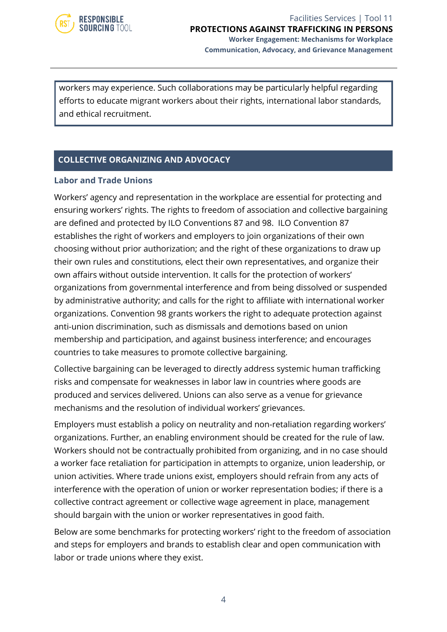

workers may experience. Such collaborations may be particularly helpful regarding efforts to educate migrant workers about their rights, international labor standards, and ethical recruitment.

#### **COLLECTIVE ORGANIZING AND ADVOCACY**

#### **Labor and Trade Unions**

Workers' agency and representation in the workplace are essential for protecting and ensuring workers' rights. The rights to freedom of association and collective bargaining are defined and protected by ILO Conventions 87 and 98. ILO Convention 87 establishes the right of workers and employers to join organizations of their own choosing without prior authorization; and the right of these organizations to draw up their own rules and constitutions, elect their own representatives, and organize their own affairs without outside intervention. It calls for the protection of workers' organizations from governmental interference and from being dissolved or suspended by administrative authority; and calls for the right to affiliate with international worker organizations. Convention 98 grants workers the right to adequate protection against anti-union discrimination, such as dismissals and demotions based on union membership and participation, and against business interference; and encourages countries to take measures to promote collective bargaining.

Collective bargaining can be leveraged to directly address systemic human trafficking risks and compensate for weaknesses in labor law in countries where goods are produced and services delivered. Unions can also serve as a venue for grievance mechanisms and the resolution of individual workers' grievances.

Employers must establish a policy on neutrality and non-retaliation regarding workers' organizations. Further, an enabling environment should be created for the rule of law. Workers should not be contractually prohibited from organizing, and in no case should a worker face retaliation for participation in attempts to organize, union leadership, or union activities. Where trade unions exist, employers should refrain from any acts of interference with the operation of union or worker representation bodies; if there is a collective contract agreement or collective wage agreement in place, management should bargain with the union or worker representatives in good faith.

Below are some benchmarks for protecting workers' right to the freedom of association and steps for employers and brands to establish clear and open communication with labor or trade unions where they exist.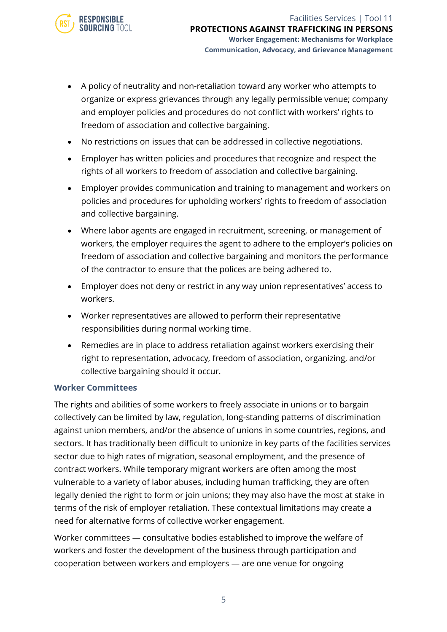

- A policy of neutrality and non-retaliation toward any worker who attempts to organize or express grievances through any legally permissible venue; company and employer policies and procedures do not conflict with workers' rights to freedom of association and collective bargaining.
- No restrictions on issues that can be addressed in collective negotiations.
- Employer has written policies and procedures that recognize and respect the rights of all workers to freedom of association and collective bargaining.
- Employer provides communication and training to management and workers on policies and procedures for upholding workers' rights to freedom of association and collective bargaining.
- Where labor agents are engaged in recruitment, screening, or management of workers, the employer requires the agent to adhere to the employer's policies on freedom of association and collective bargaining and monitors the performance of the contractor to ensure that the polices are being adhered to.
- Employer does not deny or restrict in any way union representatives' access to workers.
- Worker representatives are allowed to perform their representative responsibilities during normal working time.
- Remedies are in place to address retaliation against workers exercising their right to representation, advocacy, freedom of association, organizing, and/or collective bargaining should it occur.

#### **Worker Committees**

The rights and abilities of some workers to freely associate in unions or to bargain collectively can be limited by law, regulation, long-standing patterns of discrimination against union members, and/or the absence of unions in some countries, regions, and sectors. It has traditionally been difficult to unionize in key parts of the facilities services sector due to high rates of migration, seasonal employment, and the presence of contract workers. While temporary migrant workers are often among the most vulnerable to a variety of labor abuses, including human trafficking, they are often legally denied the right to form or join unions; they may also have the most at stake in terms of the risk of employer retaliation. These contextual limitations may create a need for alternative forms of collective worker engagement.

Worker committees — consultative bodies established to improve the welfare of workers and foster the development of the business through participation and cooperation between workers and employers — are one venue for ongoing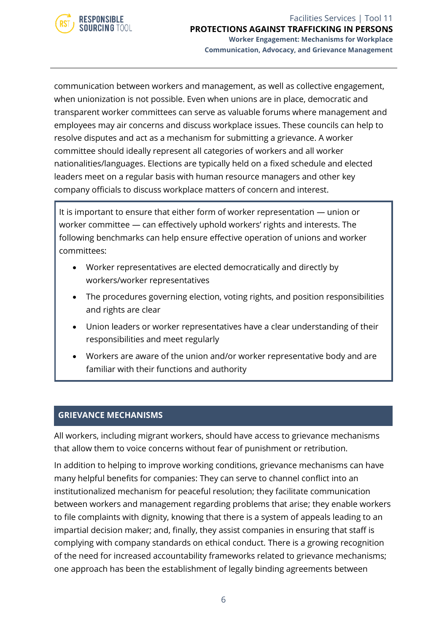

communication between workers and management, as well as collective engagement, when unionization is not possible. Even when unions are in place, democratic and transparent worker committees can serve as valuable forums where management and employees may air concerns and discuss workplace issues. These councils can help to resolve disputes and act as a mechanism for submitting a grievance. A worker committee should ideally represent all categories of workers and all worker nationalities/languages. Elections are typically held on a fixed schedule and elected leaders meet on a regular basis with human resource managers and other key company officials to discuss workplace matters of concern and interest.

It is important to ensure that either form of worker representation — union or worker committee — can effectively uphold workers' rights and interests. The following benchmarks can help ensure effective operation of unions and worker committees:

- Worker representatives are elected democratically and directly by workers/worker representatives
- The procedures governing election, voting rights, and position responsibilities and rights are clear
- Union leaders or worker representatives have a clear understanding of their responsibilities and meet regularly
- Workers are aware of the union and/or worker representative body and are familiar with their functions and authority

#### **GRIEVANCE MECHANISMS**

All workers, including migrant workers, should have access to grievance mechanisms that allow them to voice concerns without fear of punishment or retribution.

In addition to helping to improve working conditions, grievance mechanisms can have many helpful benefits for companies: They can serve to channel conflict into an institutionalized mechanism for peaceful resolution; they facilitate communication between workers and management regarding problems that arise; they enable workers to file complaints with dignity, knowing that there is a system of appeals leading to an impartial decision maker; and, finally, they assist companies in ensuring that staff is complying with company standards on ethical conduct. There is a growing recognition of the need for increased accountability frameworks related to grievance mechanisms; one approach has been the establishment of legally binding agreements between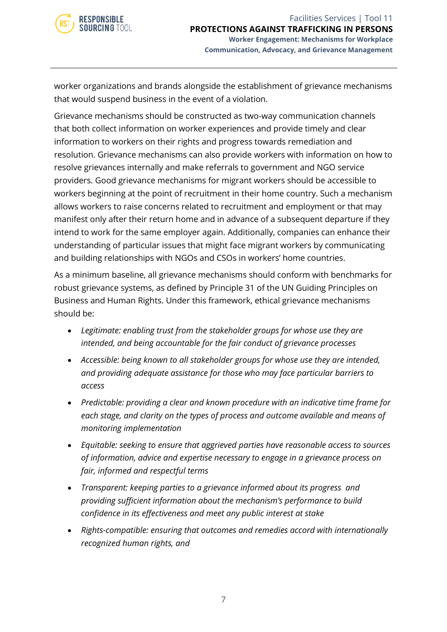worker organizations and brands alongside the establishment of grievance mechanisms that would suspend business in the event of a violation.

Grievance mechanisms should be constructed as two-way communication channels that both collect information on worker experiences and provide timely and clear information to workers on their rights and progress towards remediation and resolution. Grievance mechanisms can also provide workers with information on how to resolve grievances internally and make referrals to government and NGO service providers. Good grievance mechanisms for migrant workers should be accessible to workers beginning at the point of recruitment in their home country. Such a mechanism allows workers to raise concerns related to recruitment and employment or that may manifest only after their return home and in advance of a subsequent departure if they intend to work for the same employer again. Additionally, companies can enhance their understanding of particular issues that might face migrant workers by communicating and building relationships with NGOs and CSOs in workers' home countries.

As a minimum baseline, all grievance mechanisms should conform with benchmarks for robust grievance systems, as defined by Principle 31 of the UN Guiding Principles on Business and Human Rights. Under this framework, ethical grievance mechanisms should be:

- *Legitimate: enabling trust from the stakeholder groups for whose use they are intended, and being accountable for the fair conduct of grievance processes*
- *Accessible: being known to all stakeholder groups for whose use they are intended, and providing adequate assistance for those who may face particular barriers to access*
- *Predictable: providing a clear and known procedure with an indicative time frame for each stage, and clarity on the types of process and outcome available and means of monitoring implementation*
- *Equitable: seeking to ensure that aggrieved parties have reasonable access to sources of information, advice and expertise necessary to engage in a grievance process on fair, informed and respectful terms*
- *Transparent: keeping parties to a grievance informed about its progress and providing sufficient information about the mechanism's performance to build confidence in its effectiveness and meet any public interest at stake*
- *Rights-compatible: ensuring that outcomes and remedies accord with internationally recognized human rights, and*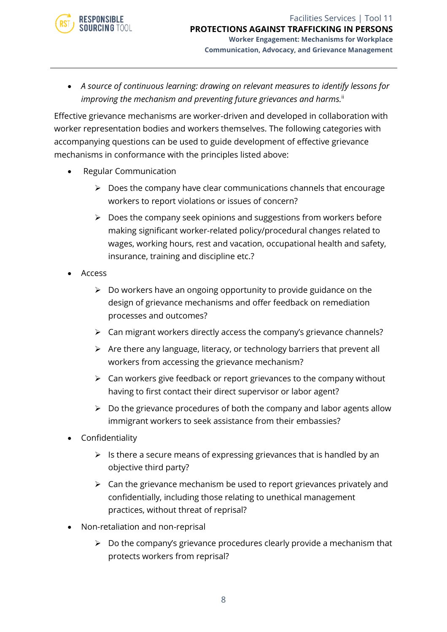

• *A source of continuous learning: drawing on relevant measures to identify lessons for improving the mechanism and preventing future grievances and harms.*<sup>ii</sup>

Effective grievance mechanisms are worker-driven and developed in collaboration with worker representation bodies and workers themselves. The following categories with accompanying questions can be used to guide development of effective grievance mechanisms in conformance with the principles listed above:

- Regular Communication
	- $\triangleright$  Does the company have clear communications channels that encourage workers to report violations or issues of concern?
	- $\triangleright$  Does the company seek opinions and suggestions from workers before making significant worker-related policy/procedural changes related to wages, working hours, rest and vacation, occupational health and safety, insurance, training and discipline etc.?
- Access
	- $\triangleright$  Do workers have an ongoing opportunity to provide guidance on the design of grievance mechanisms and offer feedback on remediation processes and outcomes?
	- ➢ Can migrant workers directly access the company's grievance channels?
	- ➢ Are there any language, literacy, or technology barriers that prevent all workers from accessing the grievance mechanism?
	- $\triangleright$  Can workers give feedback or report grievances to the company without having to first contact their direct supervisor or labor agent?
	- ➢ Do the grievance procedures of both the company and labor agents allow immigrant workers to seek assistance from their embassies?
- Confidentiality
	- $\triangleright$  Is there a secure means of expressing grievances that is handled by an objective third party?
	- $\triangleright$  Can the grievance mechanism be used to report grievances privately and confidentially, including those relating to unethical management practices, without threat of reprisal?
- Non-retaliation and non-reprisal
	- $\triangleright$  Do the company's grievance procedures clearly provide a mechanism that protects workers from reprisal?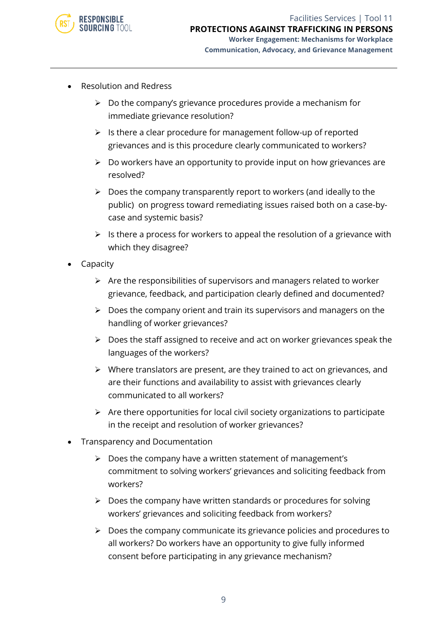

- Resolution and Redress
	- $\triangleright$  Do the company's grievance procedures provide a mechanism for immediate grievance resolution?
	- ➢ Is there a clear procedure for management follow-up of reported grievances and is this procedure clearly communicated to workers?
	- $\triangleright$  Do workers have an opportunity to provide input on how grievances are resolved?
	- ➢ Does the company transparently report to workers (and ideally to the public) on progress toward remediating issues raised both on a case-bycase and systemic basis?
	- $\triangleright$  Is there a process for workers to appeal the resolution of a grievance with which they disagree?
- **Capacity** 
	- $\triangleright$  Are the responsibilities of supervisors and managers related to worker grievance, feedback, and participation clearly defined and documented?
	- ➢ Does the company orient and train its supervisors and managers on the handling of worker grievances?
	- ➢ Does the staff assigned to receive and act on worker grievances speak the languages of the workers?
	- ➢ Where translators are present, are they trained to act on grievances, and are their functions and availability to assist with grievances clearly communicated to all workers?
	- ➢ Are there opportunities for local civil society organizations to participate in the receipt and resolution of worker grievances?
- Transparency and Documentation
	- ➢ Does the company have a written statement of management's commitment to solving workers' grievances and soliciting feedback from workers?
	- ➢ Does the company have written standards or procedures for solving workers' grievances and soliciting feedback from workers?
	- ➢ Does the company communicate its grievance policies and procedures to all workers? Do workers have an opportunity to give fully informed consent before participating in any grievance mechanism?